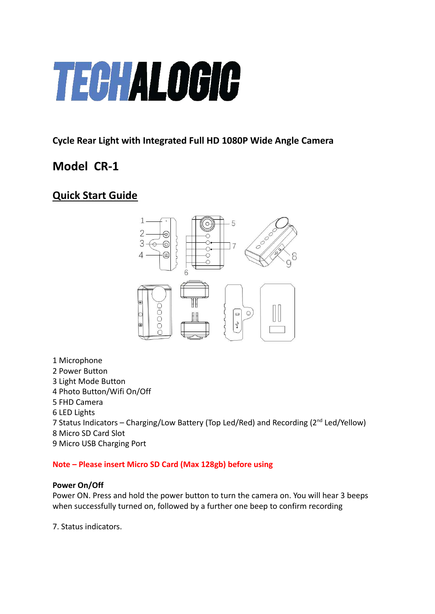# **TECHALOGIC**

# **Cycle Rear Light with Integrated Full HD 1080P Wide Angle Camera**

# **Model CR-1**

# **Quick Start Guide**



- 1 Microphone
- 2 Power Button
- 3 Light Mode Button
- 4 Photo Button/Wifi On/Off
- 5 FHD Camera
- 6 LED Lights
- 7 Status Indicators Charging/Low Battery (Top Led/Red) and Recording (2nd Led/Yellow) 8 Micro SD Card Slot
- 9 Micro USB Charging Port

# **Note – Please insert Micro SD Card (Max 128gb) before using**

# **Power On/Off**

Power ON. Press and hold the power button to turn the camera on. You will hear 3 beeps when successfully turned on, followed by a further one beep to confirm recording

7. Status indicators.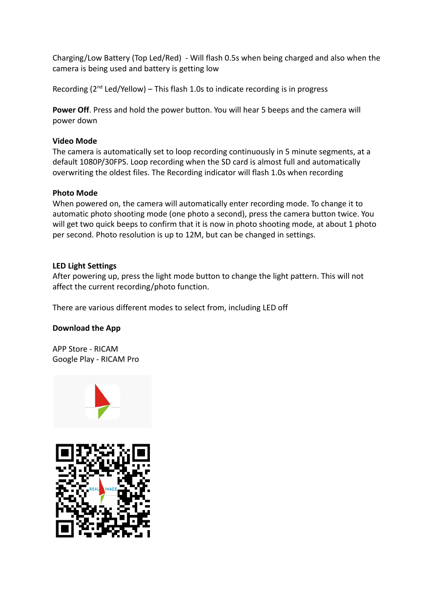Charging/Low Battery (Top Led/Red) - Will flash 0.5s when being charged and also when the camera is being used and battery is getting low

Recording  $(2^{nd}$  Led/Yellow) – This flash 1.0s to indicate recording is in progress

**Power Off**. Press and hold the power button. You will hear 5 beeps and the camera will power down

# **Video Mode**

The camera is automatically set to loop recording continuously in 5 minute segments, at a default 1080P/30FPS. Loop recording when the SD card is almost full and automatically overwriting the oldest files. The Recording indicator will flash 1.0s when recording

# **Photo Mode**

When powered on, the camera will automatically enter recording mode. To change it to automatic photo shooting mode (one photo a second), press the camera button twice. You will get two quick beeps to confirm that it is now in photo shooting mode, at about 1 photo per second. Photo resolution is up to 12M, but can be changed in settings.

# **LED Light Settings**

After powering up, press the light mode button to change the light pattern. This will not affect the current recording/photo function.

There are various different modes to select from, including LED off

# **Download the App**

APP Store - RICAM Google Play - RICAM Pro



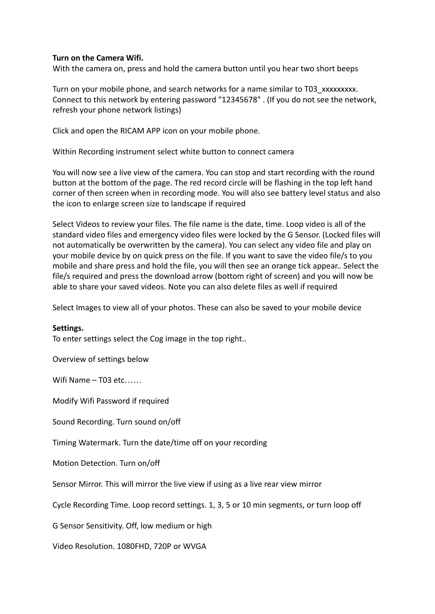# **Turn on the Camera Wifi.**

With the camera on, press and hold the camera button until you hear two short beeps

Turn on your mobile phone, and search networks for a name similar to T03\_xxxxxxxxx. Connect to this network by entering password "12345678" . (If you do not see the network, refresh your phone network listings)

Click and open the RICAM APP icon on your mobile phone.

Within Recording instrument select white button to connect camera

You will now see a live view of the camera. You can stop and start recording with the round button at the bottom of the page. The red record circle will be flashing in the top left hand corner of then screen when in recording mode. You will also see battery level status and also the icon to enlarge screen size to landscape if required

Select Videos to review your files. The file name is the date, time. Loop video is all of the standard video files and emergency video files were locked by the G Sensor. (Locked files will not automatically be overwritten by the camera). You can select any video file and play on your mobile device by on quick press on the file. If you want to save the video file/s to you mobile and share press and hold the file, you will then see an orange tick appear.. Select the file/s required and press the download arrow (bottom right of screen) and you will now be able to share your saved videos. Note you can also delete files as well if required

Select Images to view all of your photos. These can also be saved to your mobile device

#### **Settings.**

To enter settings select the Cog image in the top right..

Overview of settings below

Wifi Name  $-$  T03 etc……

Modify Wifi Password if required

Sound Recording. Turn sound on/off

Timing Watermark. Turn the date/time off on your recording

Motion Detection. Turn on/off

Sensor Mirror. This will mirror the live view if using as a live rear view mirror

Cycle Recording Time. Loop record settings. 1, 3, 5 or 10 min segments, or turn loop off

G Sensor Sensitivity. Off, low medium or high

Video Resolution. 1080FHD, 720P or WVGA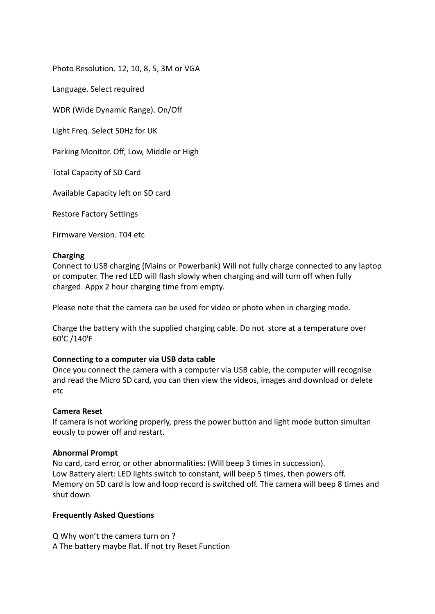Photo Resolution. 12, 10, 8, 5, 3M or VGA

Language. Select required

WDR (Wide Dynamic Range). On/Off

Light Freq. Select 50Hz for UK

Parking Monitor. Off, Low, Middle or High

Total Capacity of SD Card

Available Capacity left on SD card

Restore Factory Settings

Firmware Version. T04 etc

#### **Charging**

Connect to USB charging (Mains or Powerbank) Will not fully charge connected to any laptop or computer. The red LED will flash slowly when charging and will turn off when fully charged. Appx 2 hour charging time from empty.

Please note that the camera can be used for video or photo when in charging mode.

Charge the battery with the supplied charging cable. Do not store at a temperature over 60'C /140'F

# **Connecting to a computer via USB data cable**

Once you connect the camera with a computer via USB cable, the computer will recognise and read the Micro SD card, you can then view the videos, images and download or delete etc

#### **Camera Reset**

If camera is not working properly, press the power button and light mode button simultan eously to power off and restart.

# **Abnormal Prompt**

No card, card error, or other abnormalities: (Will beep 3 times in succession). Low Battery alert: LED lights switch to constant, will beep 5 times, then powers off. Memory on SD card is low and loop record is switched off. The camera will beep 8 times and shut down

# **Frequently Asked Questions**

Q Why won't the camera turn on ? A The battery maybe flat. If not try Reset Function